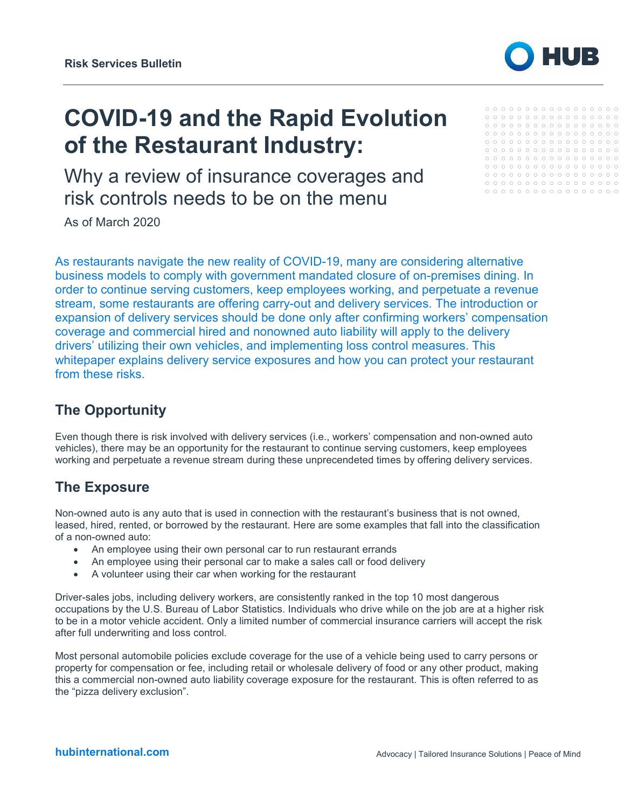

# **COVID-19 and the Rapid Evolution of the Restaurant Industry:**

Why a review of insurance coverages and risk controls needs to be on the menu

As of March 2020

As restaurants navigate the new reality of COVID-19, many are considering alternative business models to comply with government mandated closure of on-premises dining. In order to continue serving customers, keep employees working, and perpetuate a revenue stream, some restaurants are offering carry-out and delivery services. The introduction or expansion of delivery services should be done only after confirming workers' compensation coverage and commercial hired and nonowned auto liability will apply to the delivery drivers' utilizing their own vehicles, and implementing loss control measures. This whitepaper explains delivery service exposures and how you can protect your restaurant from these risks.

### **The Opportunity**

Even though there is risk involved with delivery services (i.e., workers' compensation and non-owned auto vehicles), there may be an opportunity for the restaurant to continue serving customers, keep employees working and perpetuate a revenue stream during these unprecendeted times by offering delivery services.

#### **The Exposure**

Non-owned auto is any auto that is used in connection with the restaurant's business that is not owned, leased, hired, rented, or borrowed by the restaurant. Here are some examples that fall into the classification of a non-owned auto:

- An employee using their own personal car to run restaurant errands
- An employee using their personal car to make a sales call or food delivery
- A volunteer using their car when working for the restaurant

Driver-sales jobs, including delivery workers, are consistently ranked in the top 10 most dangerous occupations by the U.S. Bureau of Labor Statistics. Individuals who drive while on the job are at a higher risk to be in a motor vehicle accident. Only a limited number of commercial insurance carriers will accept the risk after full underwriting and loss control.

Most personal automobile policies exclude coverage for the use of a vehicle being used to carry persons or property for compensation or fee, including retail or wholesale delivery of food or any other product, making this a commercial non-owned auto liability coverage exposure for the restaurant. This is often referred to as the "pizza delivery exclusion".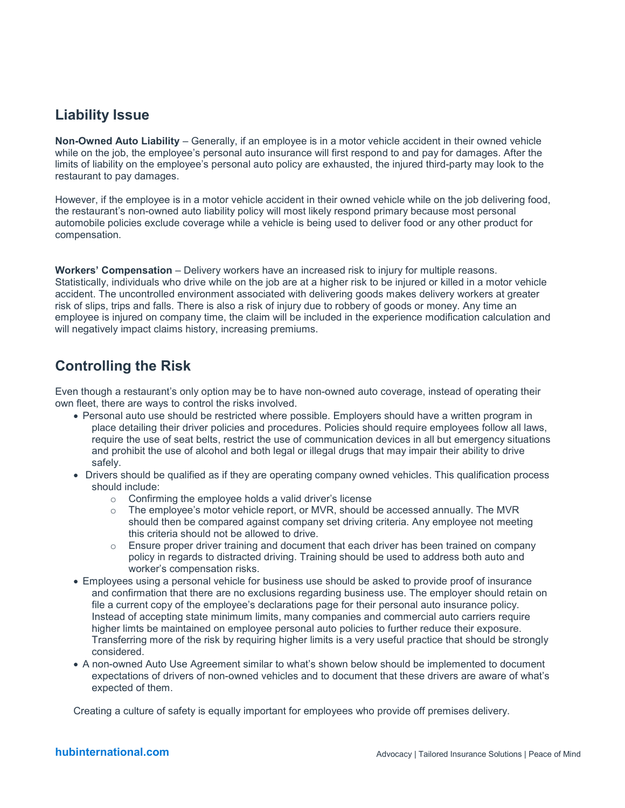## **Liability Issue**

**Non-Owned Auto Liability** – Generally, if an employee is in a motor vehicle accident in their owned vehicle while on the job, the employee's personal auto insurance will first respond to and pay for damages. After the limits of liability on the employee's personal auto policy are exhausted, the injured third-party may look to the restaurant to pay damages.

However, if the employee is in a motor vehicle accident in their owned vehicle while on the job delivering food, the restaurant's non-owned auto liability policy will most likely respond primary because most personal automobile policies exclude coverage while a vehicle is being used to deliver food or any other product for compensation.

**Workers' Compensation** – Delivery workers have an increased risk to injury for multiple reasons. Statistically, individuals who drive while on the job are at a higher risk to be injured or killed in a motor vehicle accident. The uncontrolled environment associated with delivering goods makes delivery workers at greater risk of slips, trips and falls. There is also a risk of injury due to robbery of goods or money. Any time an employee is injured on company time, the claim will be included in the experience modification calculation and will negatively impact claims history, increasing premiums.

# **Controlling the Risk**

Even though a restaurant's only option may be to have non-owned auto coverage, instead of operating their own fleet, there are ways to control the risks involved.

- Personal auto use should be restricted where possible. Employers should have a written program in place detailing their driver policies and procedures. Policies should require employees follow all laws, require the use of seat belts, restrict the use of communication devices in all but emergency situations and prohibit the use of alcohol and both legal or illegal drugs that may impair their ability to drive safely.
- Drivers should be qualified as if they are operating company owned vehicles. This qualification process should include:
	- o Confirming the employee holds a valid driver's license
	- o The employee's motor vehicle report, or MVR, should be accessed annually. The MVR should then be compared against company set driving criteria. Any employee not meeting this criteria should not be allowed to drive.
	- o Ensure proper driver training and document that each driver has been trained on company policy in regards to distracted driving. Training should be used to address both auto and worker's compensation risks.
- Employees using a personal vehicle for business use should be asked to provide proof of insurance and confirmation that there are no exclusions regarding business use. The employer should retain on file a current copy of the employee's declarations page for their personal auto insurance policy. Instead of accepting state minimum limits, many companies and commercial auto carriers require higher limts be maintained on employee personal auto policies to further reduce their exposure. Transferring more of the risk by requiring higher limits is a very useful practice that should be strongly considered.
- A non-owned Auto Use Agreement similar to what's shown below should be implemented to document expectations of drivers of non-owned vehicles and to document that these drivers are aware of what's expected of them.

Creating a culture of safety is equally important for employees who provide off premises delivery.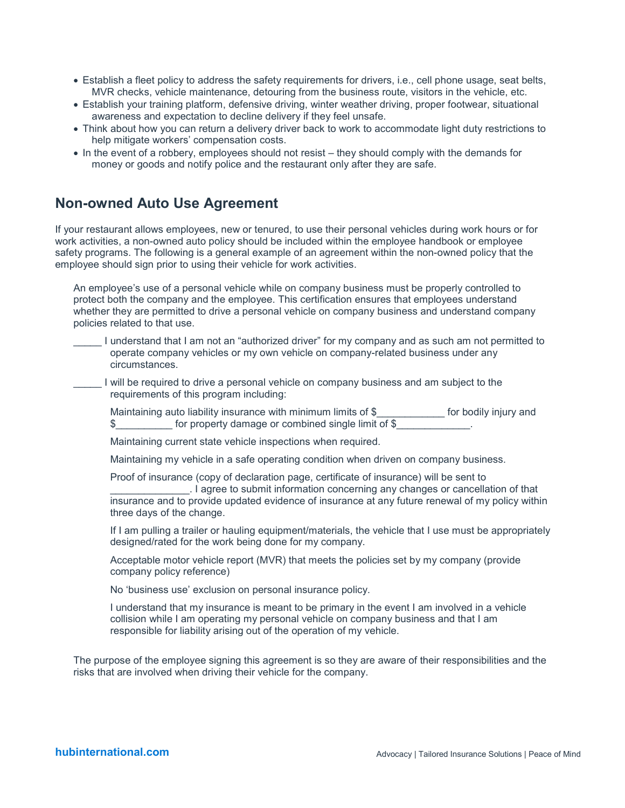- Establish a fleet policy to address the safety requirements for drivers, i.e., cell phone usage, seat belts, MVR checks, vehicle maintenance, detouring from the business route, visitors in the vehicle, etc.
- Establish your training platform, defensive driving, winter weather driving, proper footwear, situational awareness and expectation to decline delivery if they feel unsafe.
- Think about how you can return a delivery driver back to work to accommodate light duty restrictions to help mitigate workers' compensation costs.
- In the event of a robbery, employees should not resist they should comply with the demands for money or goods and notify police and the restaurant only after they are safe.

#### **Non-owned Auto Use Agreement**

If your restaurant allows employees, new or tenured, to use their personal vehicles during work hours or for work activities, a non-owned auto policy should be included within the employee handbook or employee safety programs. The following is a general example of an agreement within the non-owned policy that the employee should sign prior to using their vehicle for work activities.

An employee's use of a personal vehicle while on company business must be properly controlled to protect both the company and the employee. This certification ensures that employees understand whether they are permitted to drive a personal vehicle on company business and understand company policies related to that use.

- \_\_\_\_\_ I understand that I am not an "authorized driver" for my company and as such am not permitted to operate company vehicles or my own vehicle on company-related business under any circumstances.
- \_\_\_\_\_ I will be required to drive a personal vehicle on company business and am subject to the requirements of this program including:

Maintaining auto liability insurance with minimum limits of \$\_\_\_\_\_\_\_\_\_\_\_\_\_ for bodily injury and \$\_\_\_\_\_\_\_\_\_\_\_\_ for property damage or combined single limit of \$

Maintaining current state vehicle inspections when required.

Maintaining my vehicle in a safe operating condition when driven on company business.

Proof of insurance (copy of declaration page, certificate of insurance) will be sent to

\_\_\_\_\_\_\_\_\_\_\_\_\_\_. I agree to submit information concerning any changes or cancellation of that insurance and to provide updated evidence of insurance at any future renewal of my policy within three days of the change.

If I am pulling a trailer or hauling equipment/materials, the vehicle that I use must be appropriately designed/rated for the work being done for my company.

Acceptable motor vehicle report (MVR) that meets the policies set by my company (provide company policy reference)

No 'business use' exclusion on personal insurance policy.

I understand that my insurance is meant to be primary in the event I am involved in a vehicle collision while I am operating my personal vehicle on company business and that I am responsible for liability arising out of the operation of my vehicle.

The purpose of the employee signing this agreement is so they are aware of their responsibilities and the risks that are involved when driving their vehicle for the company.